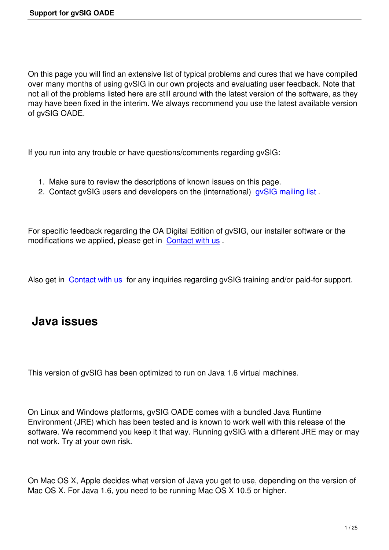On this page you will find an extensive list of typical problems and cures that we have compiled over many months of using gvSIG in our own projects and evaluating user feedback. Note that not all of the problems listed here are still around with the latest version of the software, as they may have been fixed in the interim. We always recommend you use the latest available version of gvSIG OADE.

If you run into any trouble or have questions/comments regarding gvSIG:

- 1. Make sure to review the descriptions of known issues on this page.
- 2. Contact gvSIG users and developers on the (international) gvSIG mailing list.

For specific feedback regarding the OA Digital Edition of gvSIG, o[ur installer softwa](http://www.gvsig.gva.es/index.php?id=listas-distribucion&L=2.&K=1)re or the modifications we applied, please get in Contact with us .

Also get in Contact with us for any inq[uiries regarding g](mailto:info@oadigital.net)vSIG training and/or paid-for support.

# **Java i[ssues](mailto:info@oadigital.net)**

This version of gvSIG has been optimized to run on Java 1.6 virtual machines.

On Linux and Windows platforms, gvSIG OADE comes with a bundled Java Runtime Environment (JRE) which has been tested and is known to work well with this release of the software. We recommend you keep it that way. Running gvSIG with a different JRE may or may not work. Try at your own risk.

On Mac OS X, Apple decides what version of Java you get to use, depending on the version of Mac OS X. For Java 1.6, you need to be running Mac OS X 10.5 or higher.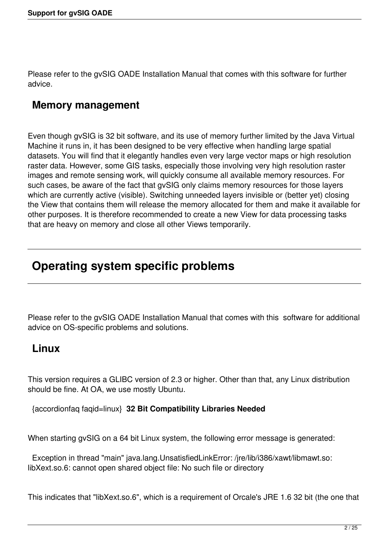Please refer to the gvSIG OADE Installation Manual that comes with this software for further advice.

# **Memory management**

Even though gvSIG is 32 bit software, and its use of memory further limited by the Java Virtual Machine it runs in, it has been designed to be very effective when handling large spatial datasets. You will find that it elegantly handles even very large vector maps or high resolution raster data. However, some GIS tasks, especially those involving very high resolution raster images and remote sensing work, will quickly consume all available memory resources. For such cases, be aware of the fact that gvSIG only claims memory resources for those layers which are currently active (visible). Switching unneeded layers invisible or (better yet) closing the View that contains them will release the memory allocated for them and make it available for other purposes. It is therefore recommended to create a new View for data processing tasks that are heavy on memory and close all other Views temporarily.

# **Operating system specific problems**

Please refer to the gvSIG OADE Installation Manual that comes with this software for additional advice on OS-specific problems and solutions.

# **Linux**

This version requires a GLIBC version of 2.3 or higher. Other than that, any Linux distribution should be fine. At OA, we use mostly Ubuntu.

{accordionfaq faqid=linux} **32 Bit Compatibility Libraries Needed**

When starting gvSIG on a 64 bit Linux system, the following error message is generated:

 Exception in thread "main" java.lang.UnsatisfiedLinkError: /jre/lib/i386/xawt/libmawt.so: libXext.so.6: cannot open shared object file: No such file or directory

This indicates that "libXext.so.6", which is a requirement of Orcale's JRE 1.6 32 bit (the one that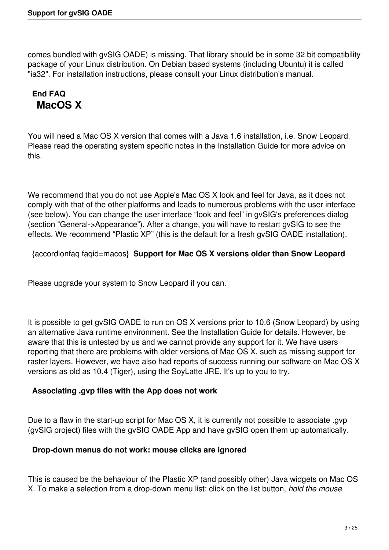comes bundled with gvSIG OADE) is missing. That library should be in some 32 bit compatibility package of your Linux distribution. On Debian based systems (including Ubuntu) it is called "ia32". For installation instructions, please consult your Linux distribution's manual.

# **End FAQ MacOS X**

You will need a Mac OS X version that comes with a Java 1.6 installation, i.e. Snow Leopard. Please read the operating system specific notes in the Installation Guide for more advice on this.

We recommend that you do not use Apple's Mac OS X look and feel for Java, as it does not comply with that of the other platforms and leads to numerous problems with the user interface (see below). You can change the user interface "look and feel" in gvSIG's preferences dialog (section "General->Appearance"). After a change, you will have to restart gvSIG to see the effects. We recommend "Plastic XP" (this is the default for a fresh gvSIG OADE installation).

{accordionfaq faqid=macos} **Support for Mac OS X versions older than Snow Leopard**

Please upgrade your system to Snow Leopard if you can.

It is possible to get gvSIG OADE to run on OS X versions prior to 10.6 (Snow Leopard) by using an alternative Java runtime environment. See the Installation Guide for details. However, be aware that this is untested by us and we cannot provide any support for it. We have users reporting that there are problems with older versions of Mac OS X, such as missing support for raster layers. However, we have also had reports of success running our software on Mac OS X versions as old as 10.4 (Tiger), using the SoyLatte JRE. It's up to you to try.

## **Associating .gvp files with the App does not work**

Due to a flaw in the start-up script for Mac OS X, it is currently not possible to associate .gvp (gvSIG project) files with the gvSIG OADE App and have gvSIG open them up automatically.

### **Drop-down menus do not work: mouse clicks are ignored**

This is caused be the behaviour of the Plastic XP (and possibly other) Java widgets on Mac OS X. To make a selection from a drop-down menu list: click on the list button, *hold the mouse*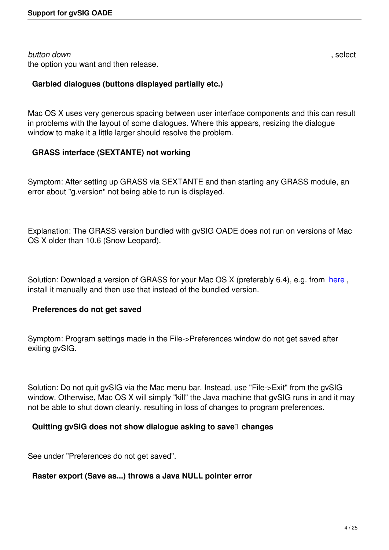#### *button down* , select the option you want and then release.

## **Garbled dialogues (buttons displayed partially etc.)**

Mac OS X uses very generous spacing between user interface components and this can result in problems with the layout of some dialogues. Where this appears, resizing the dialogue window to make it a little larger should resolve the problem.

### **GRASS interface (SEXTANTE) not working**

Symptom: After setting up GRASS via SEXTANTE and then starting any GRASS module, an error about "g.version" not being able to run is displayed.

Explanation: The GRASS version bundled with gvSIG OADE does not run on versions of Mac OS X older than 10.6 (Snow Leopard).

Solution: Download a version of GRASS for your Mac OS X (preferably 6.4), e.g. from here, install it manually and then use that instead of the bundled version.

### **Preferences do not get saved**

Symptom: Program settings made in the File->Preferences window do not get saved after exiting gvSIG.

Solution: Do not quit gvSIG via the Mac menu bar. Instead, use "File->Exit" from the gvSIG window. Otherwise, Mac OS X will simply "kill" the Java machine that gvSIG runs in and it may not be able to shut down cleanly, resulting in loss of changes to program preferences.

### **Quitting gvSIG does not show dialogue asking to save changes**

See under "Preferences do not get saved".

## **Raster export (Save as...) throws a Java NULL pointer error**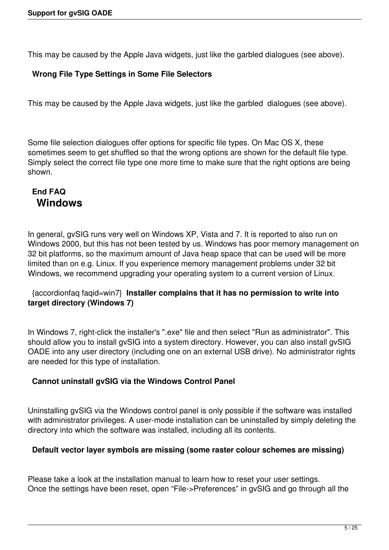This may be caused by the Apple Java widgets, just like the garbled dialogues (see above).

### **Wrong File Type Settings in Some File Selectors**

This may be caused by the Apple Java widgets, just like the garbled dialogues (see above).

Some file selection dialogues offer options for specific file types. On Mac OS X, these sometimes seem to get shuffled so that the wrong options are shown for the default file type. Simply select the correct file type one more time to make sure that the right options are being shown.

# **End FAQ Windows**

In general, gvSIG runs very well on Windows XP, Vista and 7. It is reported to also run on Windows 2000, but this has not been tested by us. Windows has poor memory management on 32 bit platforms, so the maximum amount of Java heap space that can be used will be more limited than on e.g. Linux. If you experience memory management problems under 32 bit Windows, we recommend upgrading your operating system to a current version of Linux.

### {accordionfaq faqid=win7} **Installer complains that it has no permission to write into target directory (Windows 7)**

In Windows 7, right-click the installer's ".exe" file and then select "Run as administrator". This should allow you to install gvSIG into a system directory. However, you can also install gvSIG OADE into any user directory (including one on an external USB drive). No administrator rights are needed for this type of installation.

### **Cannot uninstall gvSIG via the Windows Control Panel**

Uninstalling gvSIG via the Windows control panel is only possible if the software was installed with administrator privileges. A user-mode installation can be uninstalled by simply deleting the directory into which the software was installed, including all its contents.

### **Default vector layer symbols are missing (some raster colour schemes are missing)**

Please take a look at the installation manual to learn how to reset your user settings. Once the settings have been reset, open "File->Preferences" in gvSIG and go through all the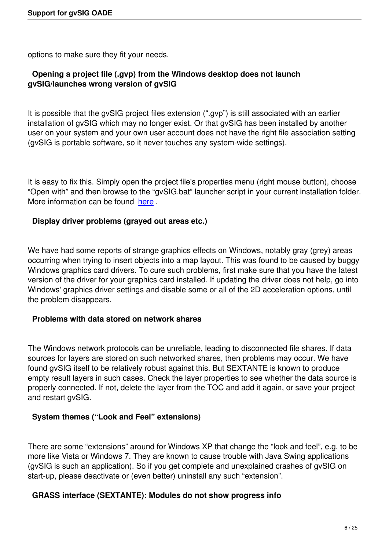options to make sure they fit your needs.

### **Opening a project file (.gvp) from the Windows desktop does not launch gvSIG/launches wrong version of gvSIG**

It is possible that the gvSIG project files extension (".gvp") is still associated with an earlier installation of gvSIG which may no longer exist. Or that gvSIG has been installed by another user on your system and your own user account does not have the right file association setting (gvSIG is portable software, so it never touches any system-wide settings).

It is easy to fix this. Simply open the project file's properties menu (right mouse button), choose "Open with" and then browse to the "gvSIG.bat" launcher script in your current installation folder. More information can be found here.

### **Display driver problems (grayed out areas etc.)**

We have had some reports of strange graphics effects on Windows, notably gray (grey) areas occurring when trying to insert objects into a map layout. This was found to be caused by buggy Windows graphics card drivers. To cure such problems, first make sure that you have the latest version of the driver for your graphics card installed. If updating the driver does not help, go into Windows' graphics driver settings and disable some or all of the 2D acceleration options, until the problem disappears.

#### **Problems with data stored on network shares**

The Windows network protocols can be unreliable, leading to disconnected file shares. If data sources for layers are stored on such networked shares, then problems may occur. We have found gvSIG itself to be relatively robust against this. But SEXTANTE is known to produce empty result layers in such cases. Check the layer properties to see whether the data source is properly connected. If not, delete the layer from the TOC and add it again, or save your project and restart gvSIG.

### **System themes ("Look and Feel" extensions)**

There are some "extensions" around for Windows XP that change the "look and feel", e.g. to be more like Vista or Windows 7. They are known to cause trouble with Java Swing applications (gvSIG is such an application). So if you get complete and unexplained crashes of gvSIG on start-up, please deactivate or (even better) uninstall any such "extension".

### **GRASS interface (SEXTANTE): Modules do not show progress info**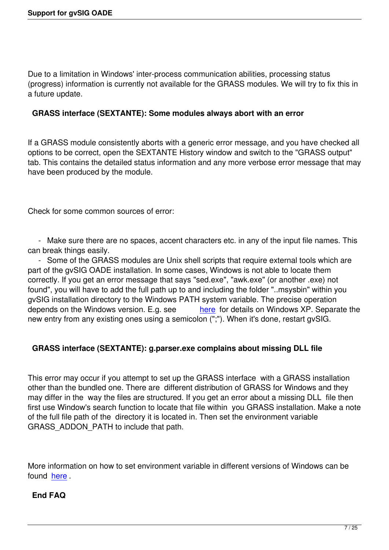Due to a limitation in Windows' inter-process communication abilities, processing status (progress) information is currently not available for the GRASS modules. We will try to fix this in a future update.

### **GRASS interface (SEXTANTE): Some modules always abort with an error**

If a GRASS module consistently aborts with a generic error message, and you have checked all options to be correct, open the SEXTANTE History window and switch to the "GRASS output" tab. This contains the detailed status information and any more verbose error message that may have been produced by the module.

Check for some common sources of error:

 - Make sure there are no spaces, accent characters etc. in any of the input file names. This can break things easily.

 - Some of the GRASS modules are Unix shell scripts that require external tools which are part of the gvSIG OADE installation. In some cases, Windows is not able to locate them correctly. If you get an error message that says "sed.exe", "awk.exe" (or another .exe) not found", you will have to add the full path up to and including the folder "..msysbin" within you gvSIG installation directory to the Windows PATH system variable. The precise operation depends on the Windows version. E.g. see here for details on Windows XP. Separate the new entry from any existing ones using a semicolon (";"). When it's done, restart gvSIG.

## **GRASS interface (SEXTANTE): g.parser.exe [comp](http://support.microsoft.com/kb/310519)lains about missing DLL file**

This error may occur if you attempt to set up the GRASS interface with a GRASS installation other than the bundled one. There are different distribution of GRASS for Windows and they may differ in the way the files are structured. If you get an error about a missing DLL file then first use Window's search function to locate that file within you GRASS installation. Make a note of the full file path of the directory it is located in. Then set the environment variable GRASS\_ADDON\_PATH to include that path.

More information on how to set environment variable in different versions of Windows can be found here .

## **End FAQ**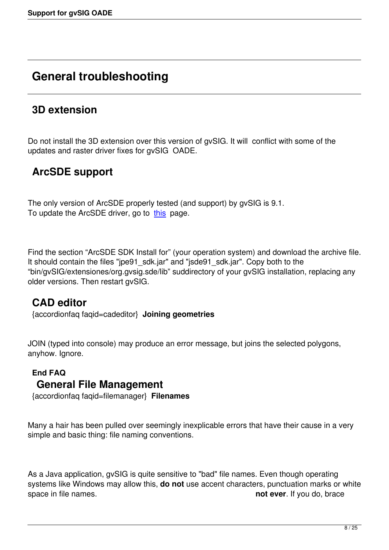# **General troubleshooting**

# **3D extension**

Do not install the 3D extension over this version of gvSIG. It will conflict with some of the updates and raster driver fixes for gvSIG OADE.

# **ArcSDE support**

The only version of ArcSDE properly tested (and support) by gvSIG is 9.1. To update the ArcSDE driver, go to this page.

Find the section "ArcSDE SDK Insta[ll for](http://support.esri.com/index.cfm?fa=downloads.patchesServicePacks.viewPatch&PID=19&MetaID=1198/)" (your operation system) and download the archive file. It should contain the files "jpe91\_sdk.jar" and "jsde91\_sdk.jar". Copy both to the "bin/gvSIG/extensiones/org.gvsig.sde/lib" suddirectory of your gvSIG installation, replacing any older versions. Then restart gvSIG.

# **CAD editor**

{accordionfaq faqid=cadeditor} **Joining geometries**

JOIN (typed into console) may produce an error message, but joins the selected polygons, anyhow. Ignore.

## **End FAQ General File Management**

{accordionfaq faqid=filemanager} **Filenames**

Many a hair has been pulled over seemingly inexplicable errors that have their cause in a very simple and basic thing: file naming conventions.

As a Java application, gvSIG is quite sensitive to "bad" file names. Even though operating systems like Windows may allow this, **do not** use accent characters, punctuation marks or white space in file names. **not ever**. If you do, brace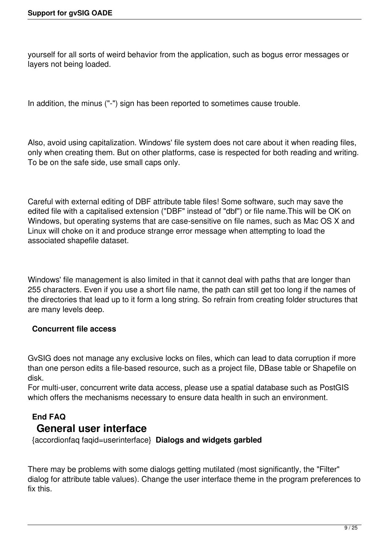yourself for all sorts of weird behavior from the application, such as bogus error messages or layers not being loaded.

In addition, the minus ("-") sign has been reported to sometimes cause trouble.

Also, avoid using capitalization. Windows' file system does not care about it when reading files, only when creating them. But on other platforms, case is respected for both reading and writing. To be on the safe side, use small caps only.

Careful with external editing of DBF attribute table files! Some software, such may save the edited file with a capitalised extension ("DBF" instead of "dbf") or file name.This will be OK on Windows, but operating systems that are case-sensitive on file names, such as Mac OS X and Linux will choke on it and produce strange error message when attempting to load the associated shapefile dataset.

Windows' file management is also limited in that it cannot deal with paths that are longer than 255 characters. Even if you use a short file name, the path can still get too long if the names of the directories that lead up to it form a long string. So refrain from creating folder structures that are many levels deep.

### **Concurrent file access**

GvSIG does not manage any exclusive locks on files, which can lead to data corruption if more than one person edits a file-based resource, such as a project file, DBase table or Shapefile on disk.

For multi-user, concurrent write data access, please use a spatial database such as PostGIS which offers the mechanisms necessary to ensure data health in such an environment.

# **End FAQ General user interface**

{accordionfaq faqid=userinterface} **Dialogs and widgets garbled**

There may be problems with some dialogs getting mutilated (most significantly, the "Filter" dialog for attribute table values). Change the user interface theme in the program preferences to fix this.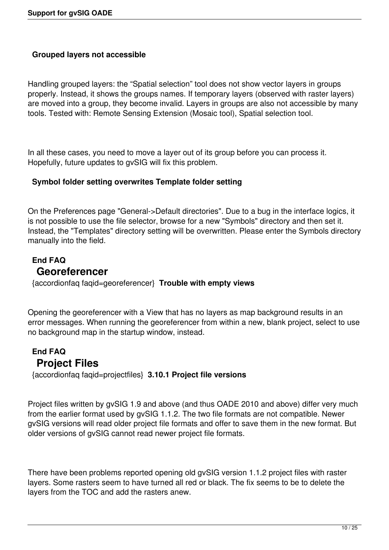### **Grouped layers not accessible**

Handling grouped layers: the "Spatial selection" tool does not show vector layers in groups properly. Instead, it shows the groups names. If temporary layers (observed with raster layers) are moved into a group, they become invalid. Layers in groups are also not accessible by many tools. Tested with: Remote Sensing Extension (Mosaic tool), Spatial selection tool.

In all these cases, you need to move a layer out of its group before you can process it. Hopefully, future updates to gvSIG will fix this problem.

#### **Symbol folder setting overwrites Template folder setting**

On the Preferences page "General->Default directories". Due to a bug in the interface logics, it is not possible to use the file selector, browse for a new "Symbols" directory and then set it. Instead, the "Templates" directory setting will be overwritten. Please enter the Symbols directory manually into the field.

# **End FAQ Georeferencer**

{accordionfaq faqid=georeferencer} **Trouble with empty views**

Opening the georeferencer with a View that has no layers as map background results in an error messages. When running the georeferencer from within a new, blank project, select to use no background map in the startup window, instead.

## **End FAQ Project Files**

{accordionfaq faqid=projectfiles} **3.10.1 Project file versions**

Project files written by gvSIG 1.9 and above (and thus OADE 2010 and above) differ very much from the earlier format used by gvSIG 1.1.2. The two file formats are not compatible. Newer gvSIG versions will read older project file formats and offer to save them in the new format. But older versions of gvSIG cannot read newer project file formats.

There have been problems reported opening old gvSIG version 1.1.2 project files with raster layers. Some rasters seem to have turned all red or black. The fix seems to be to delete the layers from the TOC and add the rasters anew.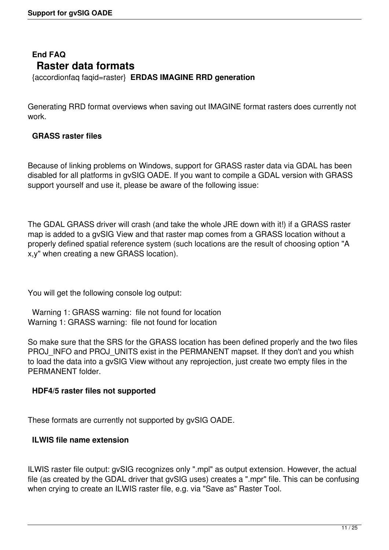# **End FAQ Raster data formats**

{accordionfaq faqid=raster} **ERDAS IMAGINE RRD generation**

Generating RRD format overviews when saving out IMAGINE format rasters does currently not work.

### **GRASS raster files**

Because of linking problems on Windows, support for GRASS raster data via GDAL has been disabled for all platforms in gvSIG OADE. If you want to compile a GDAL version with GRASS support yourself and use it, please be aware of the following issue:

The GDAL GRASS driver will crash (and take the whole JRE down with it!) if a GRASS raster map is added to a gvSIG View and that raster map comes from a GRASS location without a properly defined spatial reference system (such locations are the result of choosing option "A x,y" when creating a new GRASS location).

You will get the following console log output:

 Warning 1: GRASS warning: file not found for location Warning 1: GRASS warning: file not found for location

So make sure that the SRS for the GRASS location has been defined properly and the two files PROJ\_INFO and PROJ\_UNITS exist in the PERMANENT mapset. If they don't and you whish to load the data into a gvSIG View without any reprojection, just create two empty files in the PERMANENT folder.

#### **HDF4/5 raster files not supported**

These formats are currently not supported by gvSIG OADE.

#### **ILWIS file name extension**

ILWIS raster file output: gvSIG recognizes only ".mpl" as output extension. However, the actual file (as created by the GDAL driver that gvSIG uses) creates a ".mpr" file. This can be confusing when crying to create an ILWIS raster file, e.g. via "Save as" Raster Tool.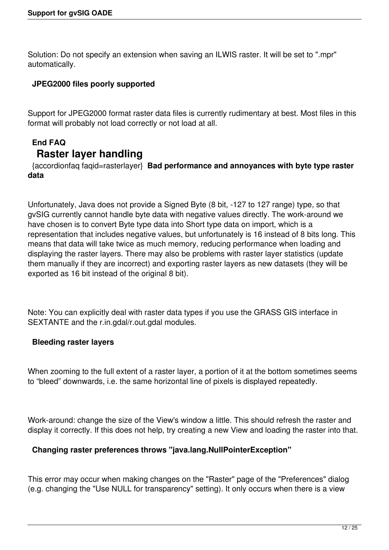Solution: Do not specify an extension when saving an ILWIS raster. It will be set to ".mpr" automatically.

### **JPEG2000 files poorly supported**

Support for JPEG2000 format raster data files is currently rudimentary at best. Most files in this format will probably not load correctly or not load at all.

# **End FAQ Raster layer handling**

 {accordionfaq faqid=rasterlayer} **Bad performance and annoyances with byte type raster data**

Unfortunately, Java does not provide a Signed Byte (8 bit, -127 to 127 range) type, so that gvSIG currently cannot handle byte data with negative values directly. The work-around we have chosen is to convert Byte type data into Short type data on import, which is a representation that includes negative values, but unfortunately is 16 instead of 8 bits long. This means that data will take twice as much memory, reducing performance when loading and displaying the raster layers. There may also be problems with raster layer statistics (update them manually if they are incorrect) and exporting raster layers as new datasets (they will be exported as 16 bit instead of the original 8 bit).

Note: You can explicitly deal with raster data types if you use the GRASS GIS interface in SEXTANTE and the r.in.gdal/r.out.gdal modules.

#### **Bleeding raster layers**

When zooming to the full extent of a raster layer, a portion of it at the bottom sometimes seems to "bleed" downwards, i.e. the same horizontal line of pixels is displayed repeatedly.

Work-around: change the size of the View's window a little. This should refresh the raster and display it correctly. If this does not help, try creating a new View and loading the raster into that.

### **Changing raster preferences throws "java.lang.NullPointerException"**

This error may occur when making changes on the "Raster" page of the "Preferences" dialog (e.g. changing the "Use NULL for transparency" setting). It only occurs when there is a view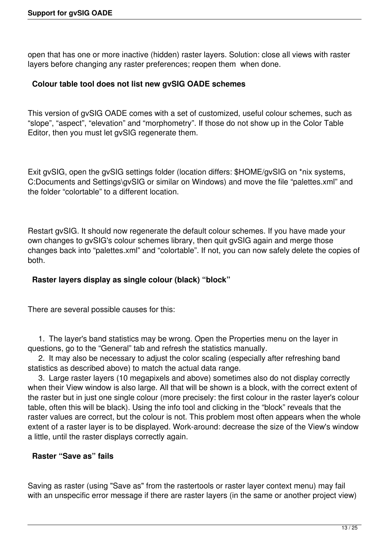open that has one or more inactive (hidden) raster layers. Solution: close all views with raster layers before changing any raster preferences; reopen them when done.

#### **Colour table tool does not list new gvSIG OADE schemes**

This version of gvSIG OADE comes with a set of customized, useful colour schemes, such as "slope", "aspect", "elevation" and "morphometry". If those do not show up in the Color Table Editor, then you must let gvSIG regenerate them.

Exit gvSIG, open the gvSIG settings folder (location differs: \$HOME/gvSIG on \*nix systems, C:Documents and Settings\gvSIG or similar on Windows) and move the file "palettes.xml" and the folder "colortable" to a different location.

Restart gvSIG. It should now regenerate the default colour schemes. If you have made your own changes to gvSIG's colour schemes library, then quit gvSIG again and merge those changes back into "palettes.xml" and "colortable". If not, you can now safely delete the copies of both.

### **Raster layers display as single colour (black) "block"**

There are several possible causes for this:

 1. The layer's band statistics may be wrong. Open the Properties menu on the layer in questions, go to the "General" tab and refresh the statistics manually.

 2. It may also be necessary to adjust the color scaling (especially after refreshing band statistics as described above) to match the actual data range.

 3. Large raster layers (10 megapixels and above) sometimes also do not display correctly when their View window is also large. All that will be shown is a block, with the correct extent of the raster but in just one single colour (more precisely: the first colour in the raster layer's colour table, often this will be black). Using the info tool and clicking in the "block" reveals that the raster values are correct, but the colour is not. This problem most often appears when the whole extent of a raster layer is to be displayed. Work-around: decrease the size of the View's window a little, until the raster displays correctly again.

#### **Raster "Save as" fails**

Saving as raster (using "Save as" from the rastertools or raster layer context menu) may fail with an unspecific error message if there are raster layers (in the same or another project view)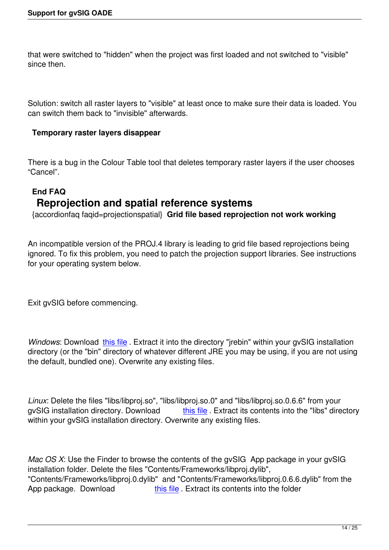that were switched to "hidden" when the project was first loaded and not switched to "visible" since then.

Solution: switch all raster layers to "visible" at least once to make sure their data is loaded. You can switch them back to "invisible" afterwards.

### **Temporary raster layers disappear**

There is a bug in the Colour Table tool that deletes temporary raster layers if the user chooses "Cancel".

# **End FAQ Reprojection and spatial reference systems**

{accordionfaq faqid=projectionspatial} **Grid file based reprojection not work working**

An incompatible version of the PROJ.4 library is leading to grid file based reprojections being ignored. To fix this problem, you need to patch the projection support libraries. See instructions for your operating system below.

Exit gvSIG before commencing.

*Windows:* Download this file . Extract it into the directory "*irebin*" within your gvSIG installation directory (or the "bin" directory of whatever different JRE you may be using, if you are not using the default, bundled one). Overwrite any existing files.

*Linux*: Delete the files "libs/libproj.so", "libs/libproj.so.0" and "libs/libproj.so.0.6.6" from your gySIG installation directory. Download this file . Extract its contents into the "libs" directory within your gvSIG installation directory. Overwrite any existing files.

*Mac OS X*: Use the Finder to browse the contents of the gvSIG App package in your gvSIG installation folder. Delete the files "Contents/Frameworks/libproj.dylib", "Contents/Frameworks/libproj.0.dylib" and "Contents/Frameworks/libproj.0.6.6.dylib" from the App package. Download this file . Extract its contents into the folder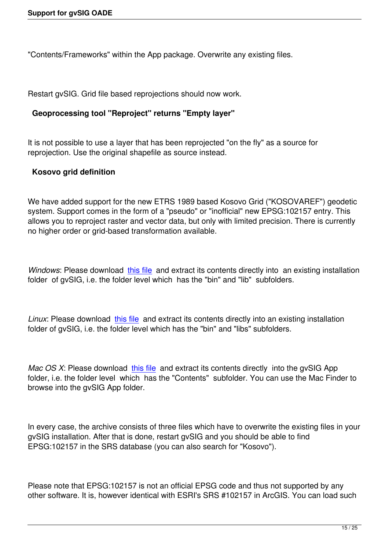"Contents/Frameworks" within the App package. Overwrite any existing files.

Restart gvSIG. Grid file based reprojections should now work.

## **Geoprocessing tool "Reproject" returns "Empty layer"**

It is not possible to use a layer that has been reprojected "on the fly" as a source for reprojection. Use the original shapefile as source instead.

## **Kosovo grid definition**

We have added support for the new ETRS 1989 based Kosovo Grid ("KOSOVAREF") geodetic system. Support comes in the form of a "pseudo" or "inofficial" new EPSG:102157 entry. This allows you to reproject raster and vector data, but only with limited precision. There is currently no higher order or grid-based transformation available.

*Windows*: Please download this file and extract its contents directly into an existing installation folder of gvSIG, i.e. the folder level which has the "bin" and "lib" subfolders.

*Linux*: Please download this file and extract its contents directly into an existing installation folder of gvSIG, i.e. the folder level which has the "bin" and "libs" subfolders.

*Mac OS X*: Please download this file and extract its contents directly into the gySIG App folder, i.e. the folder level which has the "Contents" subfolder. You can use the Mac Finder to browse into the gvSIG App folder.

In every case, the archive consists of three files which have to overwrite the existing files in your gvSIG installation. After that is done, restart gvSIG and you should be able to find EPSG:102157 in the SRS database (you can also search for "Kosovo").

Please note that EPSG:102157 is not an official EPSG code and thus not supported by any other software. It is, however identical with ESRI's SRS #102157 in ArcGIS. You can load such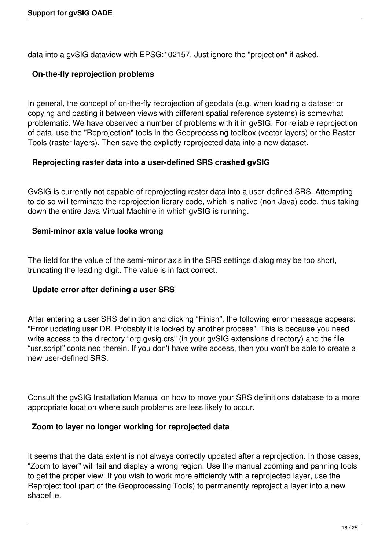data into a gvSIG dataview with EPSG:102157. Just ignore the "projection" if asked.

### **On-the-fly reprojection problems**

In general, the concept of on-the-fly reprojection of geodata (e.g. when loading a dataset or copying and pasting it between views with different spatial reference systems) is somewhat problematic. We have observed a number of problems with it in gvSIG. For reliable reprojection of data, use the "Reprojection" tools in the Geoprocessing toolbox (vector layers) or the Raster Tools (raster layers). Then save the explictly reprojected data into a new dataset.

### **Reprojecting raster data into a user-defined SRS crashed gvSIG**

GvSIG is currently not capable of reprojecting raster data into a user-defined SRS. Attempting to do so will terminate the reprojection library code, which is native (non-Java) code, thus taking down the entire Java Virtual Machine in which gvSIG is running.

### **Semi-minor axis value looks wrong**

The field for the value of the semi-minor axis in the SRS settings dialog may be too short, truncating the leading digit. The value is in fact correct.

### **Update error after defining a user SRS**

After entering a user SRS definition and clicking "Finish", the following error message appears: "Error updating user DB. Probably it is locked by another process". This is because you need write access to the directory "org.gvsig.crs" (in your gvSIG extensions directory) and the file "usr.script" contained therein. If you don't have write access, then you won't be able to create a new user-defined SRS.

Consult the gvSIG Installation Manual on how to move your SRS definitions database to a more appropriate location where such problems are less likely to occur.

### **Zoom to layer no longer working for reprojected data**

It seems that the data extent is not always correctly updated after a reprojection. In those cases, "Zoom to layer" will fail and display a wrong region. Use the manual zooming and panning tools to get the proper view. If you wish to work more efficiently with a reprojected layer, use the Reproject tool (part of the Geoprocessing Tools) to permanently reproject a layer into a new shapefile.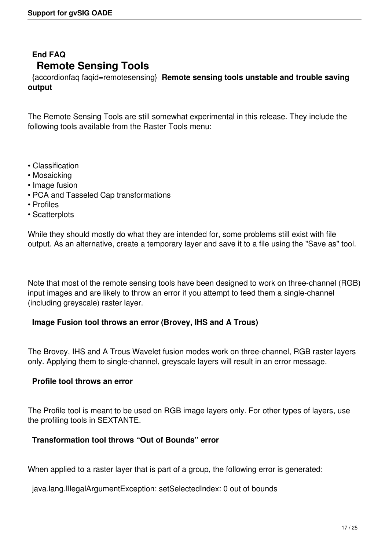# **End FAQ Remote Sensing Tools**

 {accordionfaq faqid=remotesensing} **Remote sensing tools unstable and trouble saving output**

The Remote Sensing Tools are still somewhat experimental in this release. They include the following tools available from the Raster Tools menu:

- Classification
- Mosaicking
- Image fusion
- PCA and Tasseled Cap transformations
- Profiles
- Scatterplots

While they should mostly do what they are intended for, some problems still exist with file output. As an alternative, create a temporary layer and save it to a file using the "Save as" tool.

Note that most of the remote sensing tools have been designed to work on three-channel (RGB) input images and are likely to throw an error if you attempt to feed them a single-channel (including greyscale) raster layer.

#### **Image Fusion tool throws an error (Brovey, IHS and A Trous)**

The Brovey, IHS and A Trous Wavelet fusion modes work on three-channel, RGB raster layers only. Applying them to single-channel, greyscale layers will result in an error message.

#### **Profile tool throws an error**

The Profile tool is meant to be used on RGB image layers only. For other types of layers, use the profiling tools in SEXTANTE.

#### **Transformation tool throws "Out of Bounds" error**

When applied to a raster layer that is part of a group, the following error is generated:

java.lang.IllegalArgumentException: setSelectedIndex: 0 out of bounds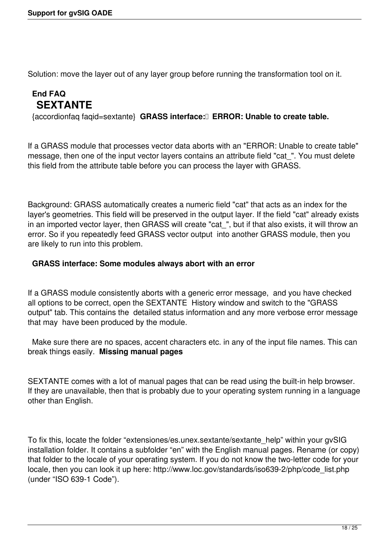Solution: move the layer out of any layer group before running the transformation tool on it.

# **End FAQ SEXTANTE**

{accordionfaq faqid=sextante} **GRASS interface: ERROR: Unable to create table.**

If a GRASS module that processes vector data aborts with an "ERROR: Unable to create table" message, then one of the input vector layers contains an attribute field "cat\_". You must delete this field from the attribute table before you can process the layer with GRASS.

Background: GRASS automatically creates a numeric field "cat" that acts as an index for the layer's geometries. This field will be preserved in the output layer. If the field "cat" already exists in an imported vector layer, then GRASS will create "cat\_", but if that also exists, it will throw an error. So if you repeatedly feed GRASS vector output into another GRASS module, then you are likely to run into this problem.

#### **GRASS interface: Some modules always abort with an error**

If a GRASS module consistently aborts with a generic error message, and you have checked all options to be correct, open the SEXTANTE History window and switch to the "GRASS output" tab. This contains the detailed status information and any more verbose error message that may have been produced by the module.

 Make sure there are no spaces, accent characters etc. in any of the input file names. This can break things easily. **Missing manual pages**

SEXTANTE comes with a lot of manual pages that can be read using the built-in help browser. If they are unavailable, then that is probably due to your operating system running in a language other than English.

To fix this, locate the folder "extensiones/es.unex.sextante/sextante\_help" within your gvSIG installation folder. It contains a subfolder "en" with the English manual pages. Rename (or copy) that folder to the locale of your operating system. If you do not know the two-letter code for your locale, then you can look it up here: http://www.loc.gov/standards/iso639-2/php/code\_list.php (under "ISO 639-1 Code").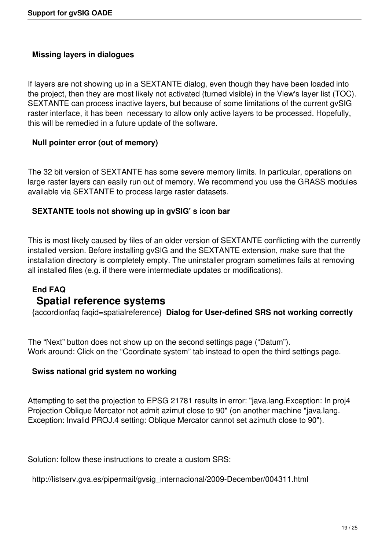### **Missing layers in dialogues**

If layers are not showing up in a SEXTANTE dialog, even though they have been loaded into the project, then they are most likely not activated (turned visible) in the View's layer list (TOC). SEXTANTE can process inactive layers, but because of some limitations of the current gvSIG raster interface, it has been necessary to allow only active layers to be processed. Hopefully, this will be remedied in a future update of the software.

#### **Null pointer error (out of memory)**

The 32 bit version of SEXTANTE has some severe memory limits. In particular, operations on large raster layers can easily run out of memory. We recommend you use the GRASS modules available via SEXTANTE to process large raster datasets.

#### **SEXTANTE tools not showing up in gvSIG' s icon bar**

This is most likely caused by files of an older version of SEXTANTE conflicting with the currently installed version. Before installing gvSIG and the SEXTANTE extension, make sure that the installation directory is completely empty. The uninstaller program sometimes fails at removing all installed files (e.g. if there were intermediate updates or modifications).

## **End FAQ Spatial reference systems**

{accordionfaq faqid=spatialreference} **Dialog for User-defined SRS not working correctly**

The "Next" button does not show up on the second settings page ("Datum"). Work around: Click on the "Coordinate system" tab instead to open the third settings page.

#### **Swiss national grid system no working**

Attempting to set the projection to EPSG 21781 results in error: "java.lang.Exception: In proj4 Projection Oblique Mercator not admit azimut close to 90" (on another machine "java.lang. Exception: Invalid PROJ.4 setting: Oblique Mercator cannot set azimuth close to 90").

Solution: follow these instructions to create a custom SRS:

http://listserv.gva.es/pipermail/gvsig\_internacional/2009-December/004311.html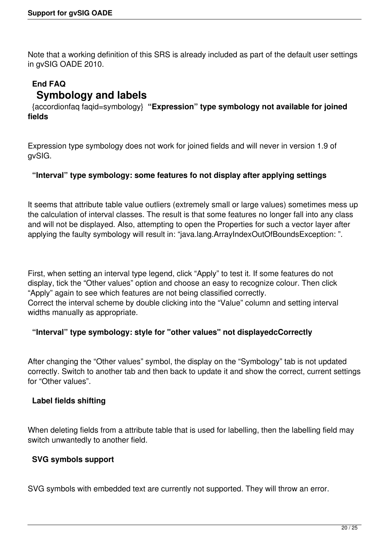Note that a working definition of this SRS is already included as part of the default user settings in gvSIG OADE 2010.

# **End FAQ Symbology and labels**

 {accordionfaq faqid=symbology} **"Expression" type symbology not available for joined fields**

Expression type symbology does not work for joined fields and will never in version 1.9 of gvSIG.

### **"Interval" type symbology: some features fo not display after applying settings**

It seems that attribute table value outliers (extremely small or large values) sometimes mess up the calculation of interval classes. The result is that some features no longer fall into any class and will not be displayed. Also, attempting to open the Properties for such a vector layer after applying the faulty symbology will result in: "java.lang.ArrayIndexOutOfBoundsException: ".

First, when setting an interval type legend, click "Apply" to test it. If some features do not display, tick the "Other values" option and choose an easy to recognize colour. Then click "Apply" again to see which features are not being classified correctly.

Correct the interval scheme by double clicking into the "Value" column and setting interval widths manually as appropriate.

### **"Interval" type symbology: style for "other values" not displayedcCorrectly**

After changing the "Other values" symbol, the display on the "Symbology" tab is not updated correctly. Switch to another tab and then back to update it and show the correct, current settings for "Other values".

#### **Label fields shifting**

When deleting fields from a attribute table that is used for labelling, then the labelling field may switch unwantedly to another field.

#### **SVG symbols support**

SVG symbols with embedded text are currently not supported. They will throw an error.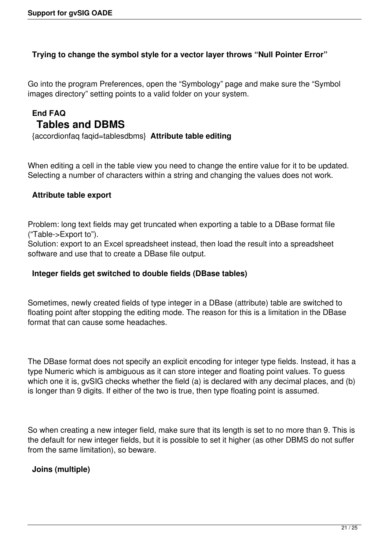#### **Trying to change the symbol style for a vector layer throws "Null Pointer Error"**

Go into the program Preferences, open the "Symbology" page and make sure the "Symbol images directory" setting points to a valid folder on your system.

# **End FAQ Tables and DBMS**

{accordionfaq faqid=tablesdbms} **Attribute table editing**

When editing a cell in the table view you need to change the entire value for it to be updated. Selecting a number of characters within a string and changing the values does not work.

#### **Attribute table export**

Problem: long text fields may get truncated when exporting a table to a DBase format file ("Table->Export to").

Solution: export to an Excel spreadsheet instead, then load the result into a spreadsheet software and use that to create a DBase file output.

#### **Integer fields get switched to double fields (DBase tables)**

Sometimes, newly created fields of type integer in a DBase (attribute) table are switched to floating point after stopping the editing mode. The reason for this is a limitation in the DBase format that can cause some headaches.

The DBase format does not specify an explicit encoding for integer type fields. Instead, it has a type Numeric which is ambiguous as it can store integer and floating point values. To guess which one it is, gvSIG checks whether the field (a) is declared with any decimal places, and (b) is longer than 9 digits. If either of the two is true, then type floating point is assumed.

So when creating a new integer field, make sure that its length is set to no more than 9. This is the default for new integer fields, but it is possible to set it higher (as other DBMS do not suffer from the same limitation), so beware.

### **Joins (multiple)**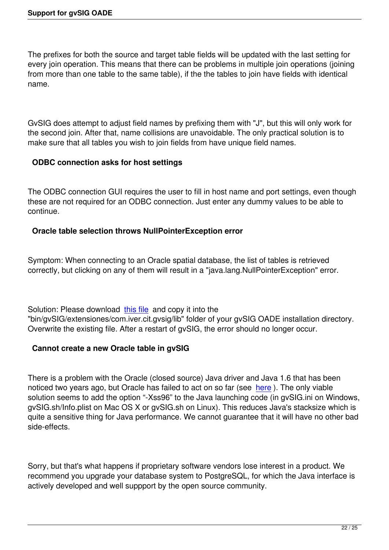The prefixes for both the source and target table fields will be updated with the last setting for every join operation. This means that there can be problems in multiple join operations (joining from more than one table to the same table), if the the tables to join have fields with identical name.

GvSIG does attempt to adjust field names by prefixing them with "J", but this will only work for the second join. After that, name collisions are unavoidable. The only practical solution is to make sure that all tables you wish to join fields from have unique field names.

## **ODBC connection asks for host settings**

The ODBC connection GUI requires the user to fill in host name and port settings, even though these are not required for an ODBC connection. Just enter any dummy values to be able to continue.

### **Oracle table selection throws NullPointerException error**

Symptom: When connecting to an Oracle spatial database, the list of tables is retrieved correctly, but clicking on any of them will result in a "java.lang.NullPointerException" error.

Solution: Please download this file and copy it into the "bin/gvSIG/extensiones/com.iver.cit.gvsig/lib" folder of your gvSIG OADE installation directory. Overwrite the existing file. After a restart of gvSIG, the error should no longer occur.

### **Cannot create a new Ora[cle tab](ftp://88.208.250.116/fmap.jar)le in gvSIG**

There is a problem with the Oracle (closed source) Java driver and Java 1.6 that has been noticed two years ago, but Oracle has failed to act on so far (see here). The only viable solution seems to add the option "-Xss96" to the Java launching code (in gvSIG.ini on Windows, gvSIG.sh/Info.plist on Mac OS X or gvSIG.sh on Linux). This reduces Java's stacksize which is quite a sensitive thing for Java performance. We cannot guarante[e tha](http://forums.oracle.com/forums/thread.jspa?threadID=463496)t it will have no other bad side-effects.

Sorry, but that's what happens if proprietary software vendors lose interest in a product. We recommend you upgrade your database system to PostgreSQL, for which the Java interface is actively developed and well suppport by the open source community.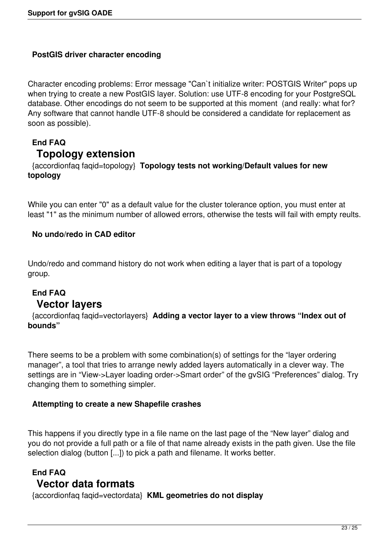### **PostGIS driver character encoding**

Character encoding problems: Error message "Can`t initialize writer: POSTGIS Writer" pops up when trying to create a new PostGIS layer. Solution: use UTF-8 encoding for your PostgreSQL database. Other encodings do not seem to be supported at this moment (and really: what for? Any software that cannot handle UTF-8 should be considered a candidate for replacement as soon as possible).

# **End FAQ Topology extension**

 {accordionfaq faqid=topology} **Topology tests not working/Default values for new topology**

While you can enter "0" as a default value for the cluster tolerance option, you must enter at least "1" as the minimum number of allowed errors, otherwise the tests will fail with empty reults.

### **No undo/redo in CAD editor**

Undo/redo and command history do not work when editing a layer that is part of a topology group.

# **End FAQ Vector layers**

 {accordionfaq faqid=vectorlayers} **Adding a vector layer to a view throws "Index out of bounds"**

There seems to be a problem with some combination(s) of settings for the "layer ordering manager", a tool that tries to arrange newly added layers automatically in a clever way. The settings are in "View->Layer loading order->Smart order" of the gvSIG "Preferences" dialog. Try changing them to something simpler.

### **Attempting to create a new Shapefile crashes**

This happens if you directly type in a file name on the last page of the "New layer" dialog and you do not provide a full path or a file of that name already exists in the path given. Use the file selection dialog (button [...]) to pick a path and filename. It works better.

## **End FAQ Vector data formats**

{accordionfaq faqid=vectordata} **KML geometries do not display**